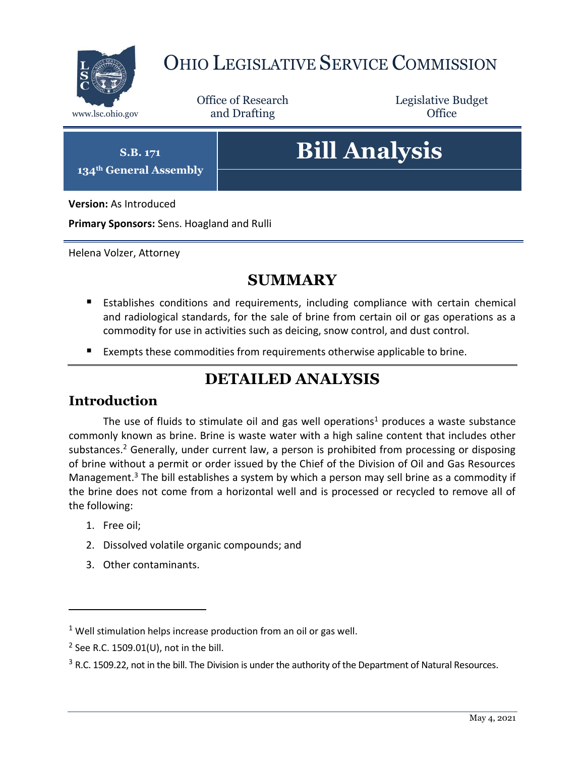

## OHIO LEGISLATIVE SERVICE COMMISSION

Office of Research www.lsc.ohio.gov **and Drafting Office** 

Legislative Budget

**S.B. 171**

**134th General Assembly**

# **Bill Analysis**

**Version:** As Introduced

**Primary Sponsors:** Sens. Hoagland and Rulli

Helena Volzer, Attorney

## **SUMMARY**

- **Establishes conditions and requirements, including compliance with certain chemical** and radiological standards, for the sale of brine from certain oil or gas operations as a commodity for use in activities such as deicing, snow control, and dust control.
- Exempts these commodities from requirements otherwise applicable to brine.

## **DETAILED ANALYSIS**

#### **Introduction**

The use of fluids to stimulate oil and gas well operations<sup>1</sup> produces a waste substance commonly known as brine. Brine is waste water with a high saline content that includes other substances.<sup>2</sup> Generally, under current law, a person is prohibited from processing or disposing of brine without a permit or order issued by the Chief of the Division of Oil and Gas Resources Management.<sup>3</sup> The bill establishes a system by which a person may sell brine as a commodity if the brine does not come from a horizontal well and is processed or recycled to remove all of the following:

1. Free oil;

 $\overline{a}$ 

- 2. Dissolved volatile organic compounds; and
- 3. Other contaminants.

 $1$  Well stimulation helps increase production from an oil or gas well.

 $2$  See R.C. 1509.01(U), not in the bill.

 $3$  R.C. 1509.22, not in the bill. The Division is under the authority of the Department of Natural Resources.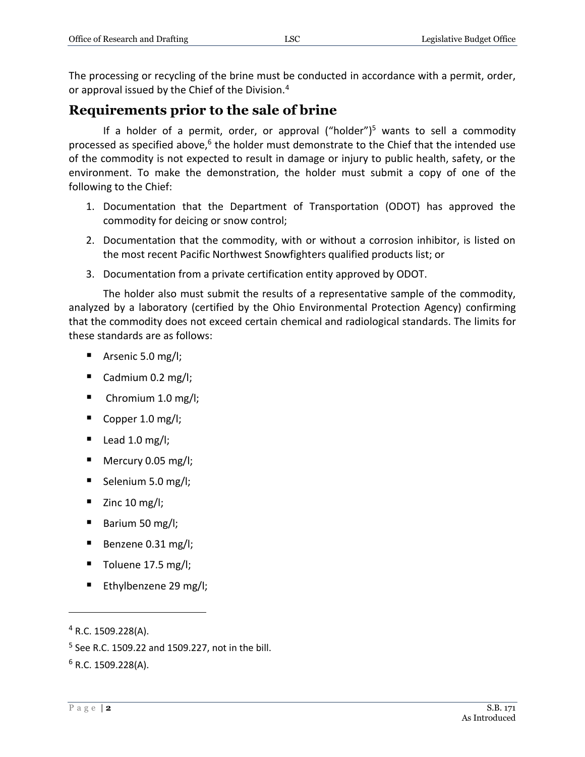The processing or recycling of the brine must be conducted in accordance with a permit, order, or approval issued by the Chief of the Division.<sup>4</sup>

#### **Requirements prior to the sale of brine**

If a holder of a permit, order, or approval ("holder")<sup>5</sup> wants to sell a commodity processed as specified above,<sup>6</sup> the holder must demonstrate to the Chief that the intended use of the commodity is not expected to result in damage or injury to public health, safety, or the environment. To make the demonstration, the holder must submit a copy of one of the following to the Chief:

- 1. Documentation that the Department of Transportation (ODOT) has approved the commodity for deicing or snow control;
- 2. Documentation that the commodity, with or without a corrosion inhibitor, is listed on the most recent Pacific Northwest Snowfighters qualified products list; or
- 3. Documentation from a private certification entity approved by ODOT.

The holder also must submit the results of a representative sample of the commodity, analyzed by a laboratory (certified by the Ohio Environmental Protection Agency) confirming that the commodity does not exceed certain chemical and radiological standards. The limits for these standards are as follows:

- Arsenic 5.0 mg/l;
- Cadmium 0.2 mg/l;
- $\blacksquare$  Chromium 1.0 mg/l;
- Copper 1.0 mg/l;
- $\blacksquare$  Lead 1.0 mg/l;
- Mercury 0.05 mg/l;
- Selenium 5.0 mg/l;
- $\blacksquare$  Zinc 10 mg/l;
- Barium 50 mg/l;
- Benzene  $0.31$  mg/l;
- $\blacksquare$  Toluene 17.5 mg/l;
- Ethylbenzene 29 mg/l;

 $\overline{a}$ 

 $4$  R.C. 1509.228(A).

<sup>&</sup>lt;sup>5</sup> See R.C. 1509.22 and 1509.227, not in the bill.

 $6$  R.C. 1509.228(A).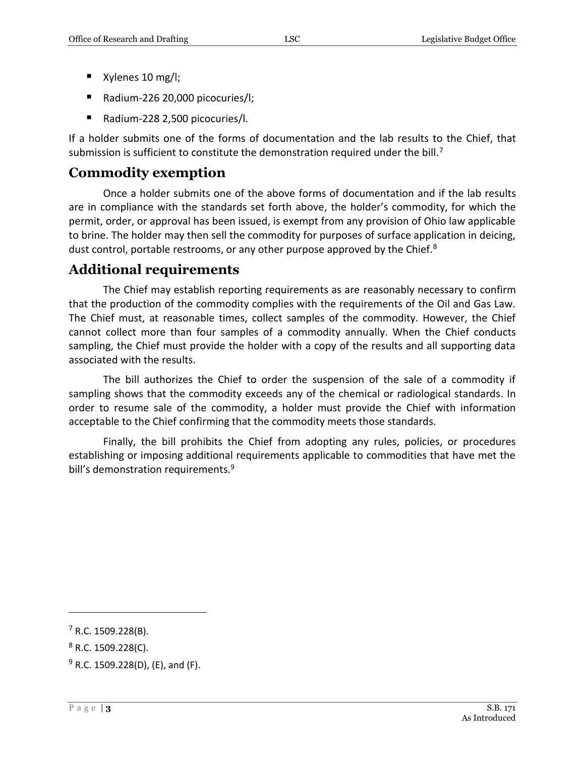- Xylenes 10 mg/l;
- Radium-226 20,000 picocuries/l;
- Radium-228 2,500 picocuries/I.

If a holder submits one of the forms of documentation and the lab results to the Chief, that submission is sufficient to constitute the demonstration required under the bill.<sup>7</sup>

## **Commodity exemption**

Once a holder submits one of the above forms of documentation and if the lab results are in compliance with the standards set forth above, the holder's commodity, for which the permit, order, or approval has been issued, is exempt from any provision of Ohio law applicable to brine. The holder may then sell the commodity for purposes of surface application in deicing, dust control, portable restrooms, or any other purpose approved by the Chief. $8$ 

## **Additional requirements**

The Chief may establish reporting requirements as are reasonably necessary to confirm that the production of the commodity complies with the requirements of the Oil and Gas Law. The Chief must, at reasonable times, collect samples of the commodity. However, the Chief cannot collect more than four samples of a commodity annually. When the Chief conducts sampling, the Chief must provide the holder with a copy of the results and all supporting data associated with the results.

The bill authorizes the Chief to order the suspension of the sale of a commodity if sampling shows that the commodity exceeds any of the chemical or radiological standards. In order to resume sale of the commodity, a holder must provide the Chief with information acceptable to the Chief confirming that the commodity meets those standards.

Finally, the bill prohibits the Chief from adopting any rules, policies, or procedures establishing or imposing additional requirements applicable to commodities that have met the bill's demonstration requirements.<sup>9</sup>

 $\overline{a}$ 

 $<sup>7</sup>$  R.C. 1509.228(B).</sup>

 $8$  R.C. 1509.228(C).

 $9$  R.C. 1509.228(D), (E), and (F).